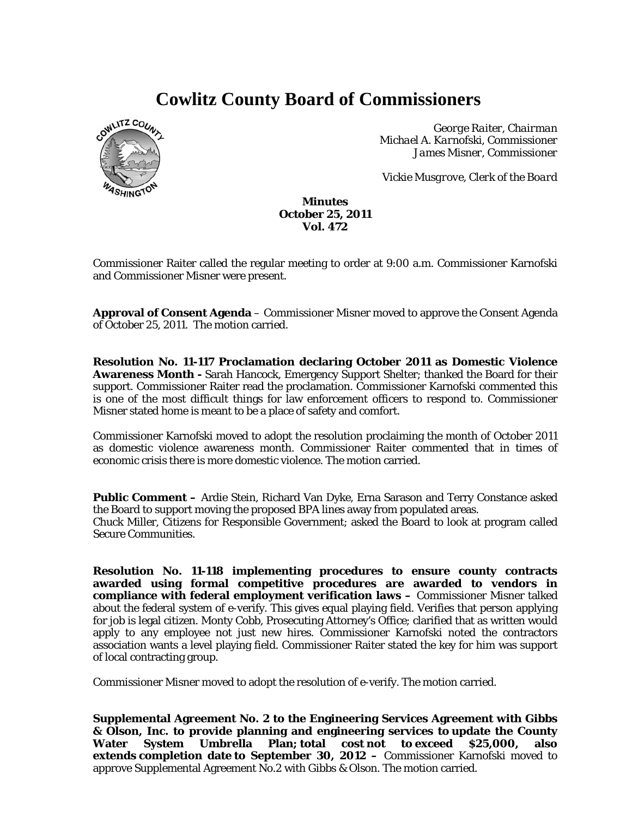# **Cowlitz County Board of Commissioners**



*George Raiter, Chairman Michael A. Karnofski, Commissioner James Misner, Commissioner* 

*Vickie Musgrove, Clerk of the Board* 

### **Minutes October 25, 2011 Vol. 472**

Commissioner Raiter called the regular meeting to order at 9:00 a.m. Commissioner Karnofski and Commissioner Misner were present.

**Approval of Consent Agenda** – Commissioner Misner moved to approve the Consent Agenda of October 25, 2011. The motion carried.

**Resolution No. 11-117 Proclamation declaring October 2011 as Domestic Violence Awareness Month -** Sarah Hancock, Emergency Support Shelter; thanked the Board for their support. Commissioner Raiter read the proclamation. Commissioner Karnofski commented this is one of the most difficult things for law enforcement officers to respond to. Commissioner Misner stated home is meant to be a place of safety and comfort.

Commissioner Karnofski moved to adopt the resolution proclaiming the month of October 2011 as domestic violence awareness month. Commissioner Raiter commented that in times of economic crisis there is more domestic violence. The motion carried.

**Public Comment –** Ardie Stein, Richard Van Dyke, Erna Sarason and Terry Constance asked the Board to support moving the proposed BPA lines away from populated areas. Chuck Miller, Citizens for Responsible Government; asked the Board to look at program called Secure Communities.

**Resolution No. 11-118 implementing procedures to ensure county contracts awarded using formal competitive procedures are awarded to vendors in compliance with federal employment verification laws –** Commissioner Misner talked about the federal system of e-verify. This gives equal playing field. Verifies that person applying for job is legal citizen. Monty Cobb, Prosecuting Attorney's Office; clarified that as written would apply to any employee not just new hires. Commissioner Karnofski noted the contractors association wants a level playing field. Commissioner Raiter stated the key for him was support of local contracting group.

Commissioner Misner moved to adopt the resolution of e-verify. The motion carried.

**Supplemental Agreement No. 2 to the Engineering Services Agreement with Gibbs & Olson, Inc. to provide planning and engineering services to update the County Water System Umbrella Plan; total cost not to exceed \$25,000, also extends completion date to September 30, 2012 –** Commissioner Karnofski moved to approve Supplemental Agreement No.2 with Gibbs & Olson. The motion carried.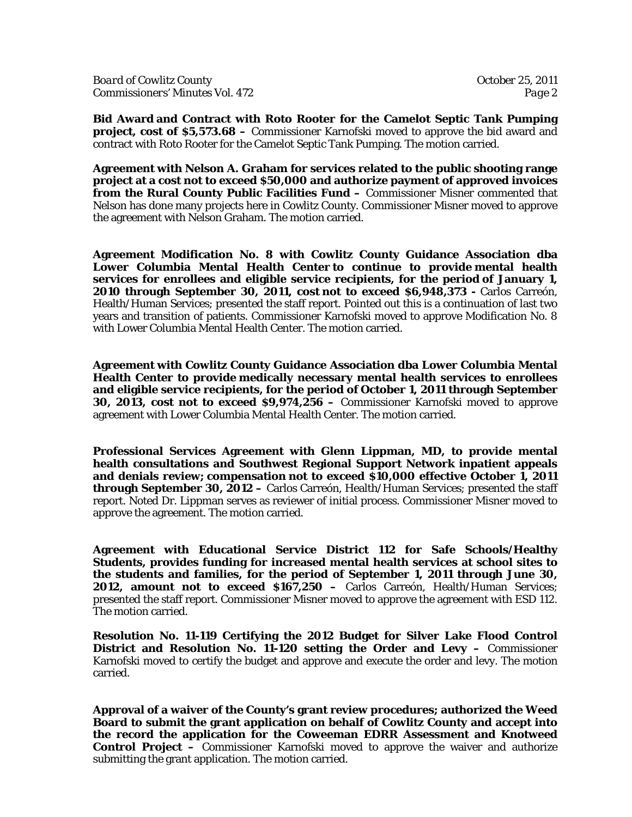**Bid Award and Contract with Roto Rooter for the Camelot Septic Tank Pumping project, cost of \$5,573.68 –** Commissioner Karnofski moved to approve the bid award and contract with Roto Rooter for the Camelot Septic Tank Pumping. The motion carried.

**Agreement with Nelson A. Graham for services related to the public shooting range project at a cost not to exceed \$50,000 and authorize payment of approved invoices from the Rural County Public Facilities Fund –** Commissioner Misner commented that Nelson has done many projects here in Cowlitz County. Commissioner Misner moved to approve the agreement with Nelson Graham. The motion carried.

**Agreement Modification No. 8 with Cowlitz County Guidance Association dba Lower Columbia Mental Health Center to continue to provide mental health services for enrollees and eligible service recipients, for the period of January 1, 2010 through September 30, 2011, cost not to exceed \$6,948,373 -** Carlos Carreón, Health/Human Services; presented the staff report. Pointed out this is a continuation of last two years and transition of patients. Commissioner Karnofski moved to approve Modification No. 8 with Lower Columbia Mental Health Center. The motion carried.

**Agreement with Cowlitz County Guidance Association dba Lower Columbia Mental Health Center to provide medically necessary mental health services to enrollees and eligible service recipients, for the period of October 1, 2011 through September 30, 2013, cost not to exceed \$9,974,256 –** Commissioner Karnofski moved to approve agreement with Lower Columbia Mental Health Center. The motion carried.

**Professional Services Agreement with Glenn Lippman, MD, to provide mental health consultations and Southwest Regional Support Network inpatient appeals and denials review; compensation not to exceed \$10,000 effective October 1, 2011 through September 30, 2012 –** Carlos Carreón, Health/Human Services; presented the staff report. Noted Dr. Lippman serves as reviewer of initial process. Commissioner Misner moved to approve the agreement. The motion carried.

**Agreement with Educational Service District 112 for Safe Schools/Healthy Students, provides funding for increased mental health services at school sites to the students and families, for the period of September 1, 2011 through June 30, 2012, amount not to exceed \$167,250 –** Carlos Carreón, Health/Human Services; presented the staff report. Commissioner Misner moved to approve the agreement with ESD 112. The motion carried.

**Resolution No. 11-119 Certifying the 2012 Budget for Silver Lake Flood Control District and Resolution No. 11-120 setting the Order and Levy –** Commissioner Karnofski moved to certify the budget and approve and execute the order and levy. The motion carried.

**Approval of a waiver of the County's grant review procedures; authorized the Weed Board to submit the grant application on behalf of Cowlitz County and accept into the record the application for the Coweeman EDRR Assessment and Knotweed Control Project –** Commissioner Karnofski moved to approve the waiver and authorize submitting the grant application. The motion carried.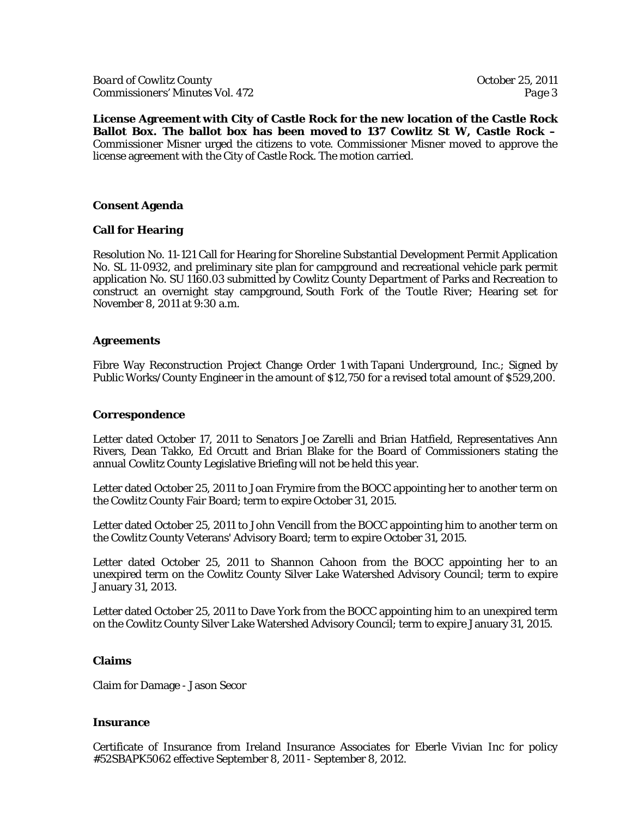**License Agreement with City of Castle Rock for the new location of the Castle Rock Ballot Box. The ballot box has been moved to 137 Cowlitz St W, Castle Rock –**  Commissioner Misner urged the citizens to vote. Commissioner Misner moved to approve the license agreement with the City of Castle Rock. The motion carried.

## **Consent Agenda**

# **Call for Hearing**

Resolution No. 11-121 Call for Hearing for Shoreline Substantial Development Permit Application No. SL 11-0932, and preliminary site plan for campground and recreational vehicle park permit application No. SU 1160.03 submitted by Cowlitz County Department of Parks and Recreation to construct an overnight stay campground, South Fork of the Toutle River; Hearing set for November 8, 2011 at 9:30 a.m.

## **Agreements**

Fibre Way Reconstruction Project Change Order 1 with Tapani Underground, Inc.; Signed by Public Works/County Engineer in the amount of \$12,750 for a revised total amount of \$529,200.

### **Correspondence**

Letter dated October 17, 2011 to Senators Joe Zarelli and Brian Hatfield, Representatives Ann Rivers, Dean Takko, Ed Orcutt and Brian Blake for the Board of Commissioners stating the annual Cowlitz County Legislative Briefing will not be held this year.

Letter dated October 25, 2011 to Joan Frymire from the BOCC appointing her to another term on the Cowlitz County Fair Board; term to expire October 31, 2015.

Letter dated October 25, 2011 to John Vencill from the BOCC appointing him to another term on the Cowlitz County Veterans' Advisory Board; term to expire October 31, 2015.

Letter dated October 25, 2011 to Shannon Cahoon from the BOCC appointing her to an unexpired term on the Cowlitz County Silver Lake Watershed Advisory Council; term to expire January 31, 2013.

Letter dated October 25, 2011 to Dave York from the BOCC appointing him to an unexpired term on the Cowlitz County Silver Lake Watershed Advisory Council; term to expire January 31, 2015.

#### **Claims**

Claim for Damage - Jason Secor

#### **Insurance**

Certificate of Insurance from Ireland Insurance Associates for Eberle Vivian Inc for policy #52SBAPK5062 effective September 8, 2011 - September 8, 2012.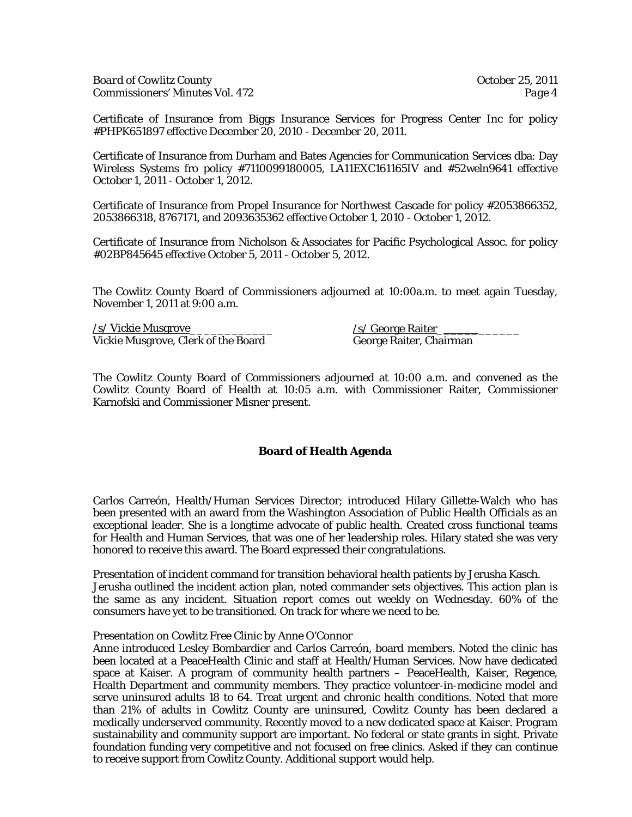Certificate of Insurance from Biggs Insurance Services for Progress Center Inc for policy #PHPK651897 effective December 20, 2010 - December 20, 2011.

Certificate of Insurance from Durham and Bates Agencies for Communication Services dba: Day Wireless Systems fro policy #7110099180005, LA11EXC161165IV and #52weln9641 effective October 1, 2011 - October 1, 2012.

Certificate of Insurance from Propel Insurance for Northwest Cascade for policy #2053866352, 2053866318, 8767171, and 2093635362 effective October 1, 2010 - October 1, 2012.

Certificate of Insurance from Nicholson & Associates for Pacific Psychological Assoc. for policy #02BP845645 effective October 5, 2011 - October 5, 2012.

The Cowlitz County Board of Commissioners adjourned at 10:00a.m. to meet again Tuesday, November 1, 2011 at 9:00 a.m.

 $\frac{\sqrt{s}}{\sqrt{S}}$  Vickie Musgrove<br>Vickie Musgrove, Clerk of the Board George Raiter, Chairman Vickie Musgrove, Clerk of the Board

The Cowlitz County Board of Commissioners adjourned at 10:00 a.m. and convened as the Cowlitz County Board of Health at 10:05 a.m. with Commissioner Raiter, Commissioner Karnofski and Commissioner Misner present.

# **Board of Health Agenda**

Carlos Carreón, Health/Human Services Director; introduced Hilary Gillette-Walch who has been presented with an award from the Washington Association of Public Health Officials as an exceptional leader. She is a longtime advocate of public health. Created cross functional teams for Health and Human Services, that was one of her leadership roles. Hilary stated she was very honored to receive this award. The Board expressed their congratulations.

Presentation of incident command for transition behavioral health patients by Jerusha Kasch. Jerusha outlined the incident action plan, noted commander sets objectives. This action plan is the same as any incident. Situation report comes out weekly on Wednesday. 60% of the consumers have yet to be transitioned. On track for where we need to be.

Presentation on Cowlitz Free Clinic by Anne O'Connor

Anne introduced Lesley Bombardier and Carlos Carreón, board members. Noted the clinic has been located at a PeaceHealth Clinic and staff at Health/Human Services. Now have dedicated space at Kaiser. A program of community health partners – PeaceHealth, Kaiser, Regence, Health Department and community members. They practice volunteer-in-medicine model and serve uninsured adults 18 to 64. Treat urgent and chronic health conditions. Noted that more than 21% of adults in Cowlitz County are uninsured, Cowlitz County has been declared a medically underserved community. Recently moved to a new dedicated space at Kaiser. Program sustainability and community support are important. No federal or state grants in sight. Private foundation funding very competitive and not focused on free clinics. Asked if they can continue to receive support from Cowlitz County. Additional support would help.